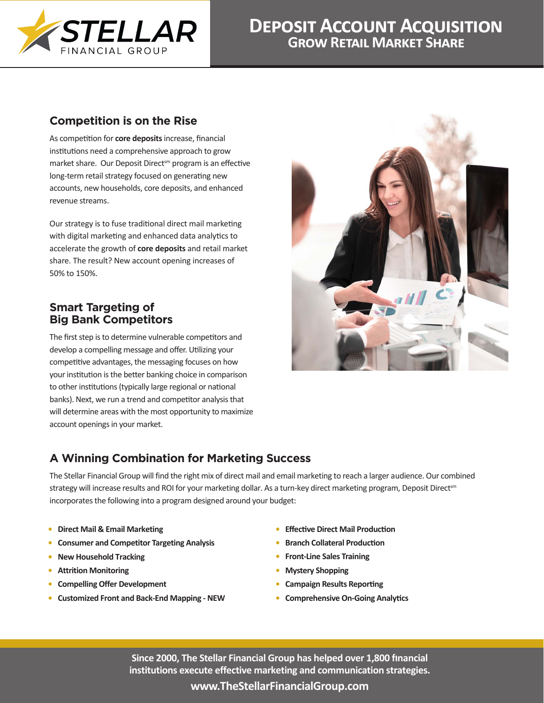

# **Deposit Account Acquisition Grow Retail Market Share**

## **Competition is on the Rise**

As competition for **core deposits** increase, financial institutions need a comprehensive approach to grow market share. Our Deposit Direct<sup>sm</sup> program is an effective long-term retail strategy focused on generating new accounts, new households, core deposits, and enhanced revenue streams.

Our strategy is to fuse traditional direct mail marketing with digital marketing and enhanced data analytics to accelerate the growth of **core deposits** and retail market share. The result? New account opening increases of 50% to 150%.

#### **Smart Targeting of Big Bank Competitors**

The first step is to determine vulnerable competitors and develop a compelling message and offer. Utilizing your competitive advantages, the messaging focuses on how your institution is the better banking choice in comparison to other institutions (typically large regional or national banks). Next, we run a trend and competitor analysis that will determine areas with the most opportunity to maximize account openings in your market.



# **A Winning Combination for Marketing Success**

The Stellar Financial Group will find the right mix of direct mail and email marketing to reach a larger audience. Our combined strategy will increase results and ROI for your marketing dollar. As a turn-key direct marketing program, Deposit Directsm incorporates the following into a program designed around your budget:

- **• Direct Mail & Email Marketing**
- **• Consumer and Competitor Targeting Analysis**
- **• New Household Tracking**
- **• Attrition Monitoring**
- **• Compelling Offer Development**
- **• Customized Front and Back-End Mapping NEW**
- **• Effective Direct Mail Production**
- **• Branch Collateral Production**
- **• Front-Line Sales Training**
- **• Mystery Shopping**
- **• Campaign Results Reporting**
- **• Comprehensive On-Going Analytics**

**Since 2000, The Stellar Financial Group has helped over 1,800 financial institutions execute effective marketing and communication strategies.**

#### **www.TheStellarFinancialGroup.com**